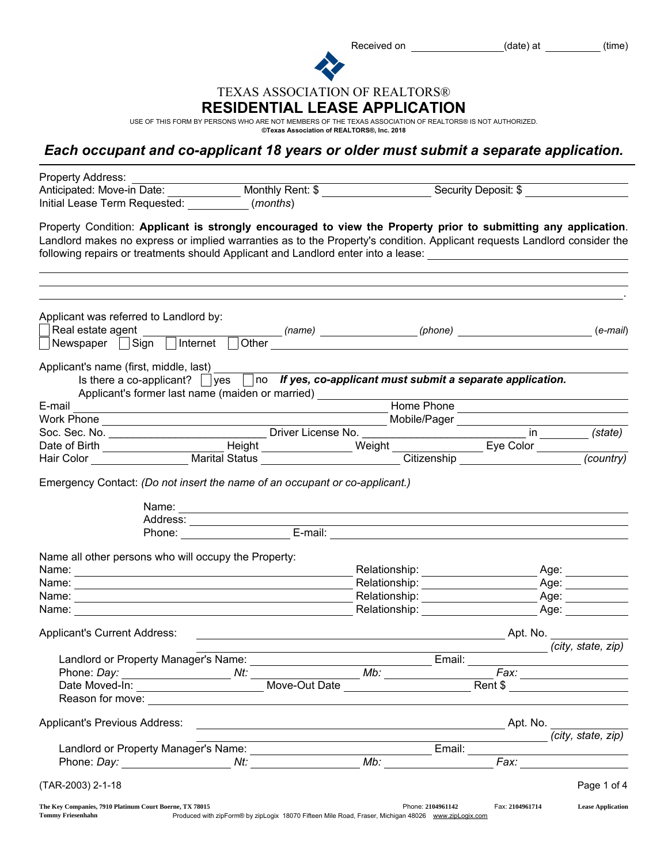Received on \_\_\_\_\_\_\_\_\_\_\_\_\_\_\_\_\_\_\_\_\_\_\_(date) at \_\_\_\_\_\_\_\_\_\_\_(time)

TEXAS ASSOCIATION OF REALTORS®

## RESIDENTIAL LEASE APPLICATION

USE OF THIS FORM BY PERSONS WHO ARE NOT MEMBERS OF THE TEXAS ASSOCIATION OF REALTORS® IS NOT AUTHORIZED.<br>©Texas Association of **REALTORS®, Inc. 2018** 

## *Each occupant and co-applicant 18 years or older must submit a separate application.*

| Property Address:<br>Anticipated: Move-in Date: Monthly Rent: \$                                                                                                                                                                                                                                                                                             |                                                                                                                                                                                                                                                                                                                                                                                                                                                                   |                                                                                                                       |                                                                                                                                                                                                                                |                           |
|--------------------------------------------------------------------------------------------------------------------------------------------------------------------------------------------------------------------------------------------------------------------------------------------------------------------------------------------------------------|-------------------------------------------------------------------------------------------------------------------------------------------------------------------------------------------------------------------------------------------------------------------------------------------------------------------------------------------------------------------------------------------------------------------------------------------------------------------|-----------------------------------------------------------------------------------------------------------------------|--------------------------------------------------------------------------------------------------------------------------------------------------------------------------------------------------------------------------------|---------------------------|
| Initial Lease Term Requested: (months)                                                                                                                                                                                                                                                                                                                       |                                                                                                                                                                                                                                                                                                                                                                                                                                                                   |                                                                                                                       | Security Deposit: \$                                                                                                                                                                                                           |                           |
| Property Condition: Applicant is strongly encouraged to view the Property prior to submitting any application.<br>Landlord makes no express or implied warranties as to the Property's condition. Applicant requests Landlord consider the<br>following repairs or treatments should Applicant and Landlord enter into a lease: 1988 1998 1999 1999 1999 199 |                                                                                                                                                                                                                                                                                                                                                                                                                                                                   |                                                                                                                       |                                                                                                                                                                                                                                |                           |
|                                                                                                                                                                                                                                                                                                                                                              |                                                                                                                                                                                                                                                                                                                                                                                                                                                                   |                                                                                                                       |                                                                                                                                                                                                                                |                           |
| Applicant was referred to Landlord by:<br>Newspaper Sign Internet                                                                                                                                                                                                                                                                                            |                                                                                                                                                                                                                                                                                                                                                                                                                                                                   |                                                                                                                       |                                                                                                                                                                                                                                | $(e-mail)$                |
| Applicant's name (first, middle, last)                                                                                                                                                                                                                                                                                                                       | Is there a co-applicant? $\Box$ yes $\Box$ no If yes, co-applicant must submit a separate application.<br>Applicant's former last name (maiden or married) ____________                                                                                                                                                                                                                                                                                           |                                                                                                                       |                                                                                                                                                                                                                                |                           |
| E-mail                                                                                                                                                                                                                                                                                                                                                       | <u> 1989 - Johann Stein, marwolaethau a bhann an t-Amhair an t-Amhair an t-Amhair an t-Amhair an t-Amhair an t-A</u>                                                                                                                                                                                                                                                                                                                                              |                                                                                                                       | Home Phone                                                                                                                                                                                                                     |                           |
|                                                                                                                                                                                                                                                                                                                                                              |                                                                                                                                                                                                                                                                                                                                                                                                                                                                   |                                                                                                                       |                                                                                                                                                                                                                                |                           |
|                                                                                                                                                                                                                                                                                                                                                              |                                                                                                                                                                                                                                                                                                                                                                                                                                                                   |                                                                                                                       |                                                                                                                                                                                                                                |                           |
|                                                                                                                                                                                                                                                                                                                                                              |                                                                                                                                                                                                                                                                                                                                                                                                                                                                   |                                                                                                                       |                                                                                                                                                                                                                                |                           |
|                                                                                                                                                                                                                                                                                                                                                              |                                                                                                                                                                                                                                                                                                                                                                                                                                                                   |                                                                                                                       |                                                                                                                                                                                                                                |                           |
| Emergency Contact: (Do not insert the name of an occupant or co-applicant.)                                                                                                                                                                                                                                                                                  | Name: Name: Name: Name: Name: Name: Name: Name: Name: Name: Name: Name: Name: Name: Name: Name: Name: Name: Name: Name: Name: Name: Name: Name: Name: Name: Name: Name: Name: Name: Name: Name: Name: Name: Name: Name: Name:<br>Address:<br>Phone: E-mail: E-mail: E-mail: E-mail: E-mail: E-mail: E-mail: E-mail: E-mail: E-mail: E-mail: E-mail: E-mail: E-mail: E-mail: E-mail: E-mail: E-mail: E-mail: E-mail: E-mail: E-mail: E-mail: E-mail: E-mail: E-mai |                                                                                                                       |                                                                                                                                                                                                                                |                           |
| Name all other persons who will occupy the Property:                                                                                                                                                                                                                                                                                                         |                                                                                                                                                                                                                                                                                                                                                                                                                                                                   |                                                                                                                       |                                                                                                                                                                                                                                |                           |
|                                                                                                                                                                                                                                                                                                                                                              |                                                                                                                                                                                                                                                                                                                                                                                                                                                                   | Relationship: __________________                                                                                      |                                                                                                                                                                                                                                | _ Age: ___________        |
|                                                                                                                                                                                                                                                                                                                                                              |                                                                                                                                                                                                                                                                                                                                                                                                                                                                   |                                                                                                                       |                                                                                                                                                                                                                                | Age: ___________          |
|                                                                                                                                                                                                                                                                                                                                                              |                                                                                                                                                                                                                                                                                                                                                                                                                                                                   |                                                                                                                       | Relationship: _____________________                                                                                                                                                                                            |                           |
| Name:                                                                                                                                                                                                                                                                                                                                                        |                                                                                                                                                                                                                                                                                                                                                                                                                                                                   |                                                                                                                       | Relationship: example and the set of the set of the set of the set of the set of the set of the set of the set of the set of the set of the set of the set of the set of the set of the set of the set of the set of the set o | Age: _______              |
| <b>Applicant's Current Address:</b>                                                                                                                                                                                                                                                                                                                          |                                                                                                                                                                                                                                                                                                                                                                                                                                                                   |                                                                                                                       |                                                                                                                                                                                                                                | Apt. No.                  |
|                                                                                                                                                                                                                                                                                                                                                              |                                                                                                                                                                                                                                                                                                                                                                                                                                                                   |                                                                                                                       |                                                                                                                                                                                                                                | (city, state, zip)        |
| Landlord or Property Manager's Name:                                                                                                                                                                                                                                                                                                                         |                                                                                                                                                                                                                                                                                                                                                                                                                                                                   |                                                                                                                       | Email:                                                                                                                                                                                                                         |                           |
| Phone: Day: Mt: Move-Out Date Mb: Fax: Fax: Fax: Net Moved-In: Phone Out Date Move-Out Date Move-Out Date Rent \$                                                                                                                                                                                                                                            |                                                                                                                                                                                                                                                                                                                                                                                                                                                                   |                                                                                                                       |                                                                                                                                                                                                                                | Fax: ____________________ |
|                                                                                                                                                                                                                                                                                                                                                              |                                                                                                                                                                                                                                                                                                                                                                                                                                                                   |                                                                                                                       |                                                                                                                                                                                                                                |                           |
|                                                                                                                                                                                                                                                                                                                                                              |                                                                                                                                                                                                                                                                                                                                                                                                                                                                   |                                                                                                                       |                                                                                                                                                                                                                                |                           |
| Applicant's Previous Address:                                                                                                                                                                                                                                                                                                                                |                                                                                                                                                                                                                                                                                                                                                                                                                                                                   |                                                                                                                       |                                                                                                                                                                                                                                |                           |
|                                                                                                                                                                                                                                                                                                                                                              |                                                                                                                                                                                                                                                                                                                                                                                                                                                                   | <u> 1989 - Johann Barn, mars ann an t-Amhain Aonaichte ann an t-Aonaichte ann an t-Aonaichte ann an t-Aonaichte a</u> |                                                                                                                                                                                                                                | (city, state, zip)        |
|                                                                                                                                                                                                                                                                                                                                                              |                                                                                                                                                                                                                                                                                                                                                                                                                                                                   |                                                                                                                       |                                                                                                                                                                                                                                |                           |
| (TAR-2003) 2-1-18                                                                                                                                                                                                                                                                                                                                            |                                                                                                                                                                                                                                                                                                                                                                                                                                                                   |                                                                                                                       |                                                                                                                                                                                                                                | Page 1 of 4               |
| The Key Companies, 7910 Platinum Court Boerne, TX 78015<br><b>Tommy Friesenhahn</b>                                                                                                                                                                                                                                                                          | Produced with zipForm® by zipLogix 18070 Fifteen Mile Road, Fraser, Michigan 48026 www.zipLogix.com                                                                                                                                                                                                                                                                                                                                                               | Phone: 2104961142                                                                                                     | Fax: 2104961714                                                                                                                                                                                                                | <b>Lease Application</b>  |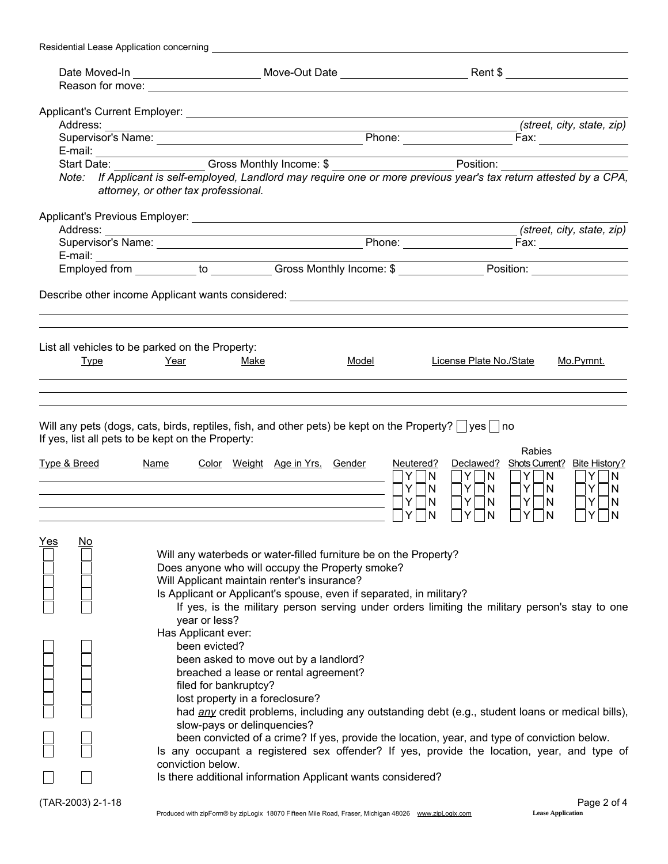| Residential Lease Application concerning          |                                             |                                                                                                                                                                     |                       |                                                      |                                          |
|---------------------------------------------------|---------------------------------------------|---------------------------------------------------------------------------------------------------------------------------------------------------------------------|-----------------------|------------------------------------------------------|------------------------------------------|
|                                                   |                                             |                                                                                                                                                                     |                       |                                                      |                                          |
|                                                   |                                             |                                                                                                                                                                     |                       |                                                      |                                          |
|                                                   |                                             |                                                                                                                                                                     |                       |                                                      |                                          |
|                                                   |                                             |                                                                                                                                                                     |                       |                                                      | (street, city, state, zip)               |
|                                                   |                                             |                                                                                                                                                                     |                       |                                                      |                                          |
|                                                   |                                             |                                                                                                                                                                     |                       |                                                      |                                          |
|                                                   |                                             |                                                                                                                                                                     |                       |                                                      |                                          |
|                                                   |                                             | E-mail: Start Date: Cross Monthly Income: \$<br>Note: If Applicant is self-employed, Landlord may require one or more previous year's tax return attested by a CPA, |                       |                                                      |                                          |
|                                                   | attorney, or other tax professional.        |                                                                                                                                                                     |                       |                                                      |                                          |
|                                                   |                                             |                                                                                                                                                                     |                       |                                                      |                                          |
|                                                   |                                             |                                                                                                                                                                     |                       |                                                      | (street, city, state, zip)               |
|                                                   |                                             |                                                                                                                                                                     |                       |                                                      |                                          |
|                                                   |                                             |                                                                                                                                                                     |                       |                                                      |                                          |
|                                                   |                                             |                                                                                                                                                                     |                       |                                                      |                                          |
|                                                   |                                             |                                                                                                                                                                     |                       |                                                      |                                          |
|                                                   |                                             |                                                                                                                                                                     |                       |                                                      |                                          |
|                                                   |                                             |                                                                                                                                                                     |                       |                                                      |                                          |
| List all vehicles to be parked on the Property:   |                                             |                                                                                                                                                                     |                       |                                                      |                                          |
| <b>Type</b>                                       | Year<br>Make                                | Model                                                                                                                                                               |                       | License Plate No./State                              | Mo.Pymnt.                                |
|                                                   |                                             |                                                                                                                                                                     |                       |                                                      |                                          |
|                                                   |                                             |                                                                                                                                                                     |                       |                                                      |                                          |
|                                                   |                                             |                                                                                                                                                                     |                       |                                                      |                                          |
|                                                   |                                             | Will any pets (dogs, cats, birds, reptiles, fish, and other pets) be kept on the Property? $ $ yes $ $ no                                                           |                       |                                                      |                                          |
| If yes, list all pets to be kept on the Property: |                                             |                                                                                                                                                                     |                       |                                                      |                                          |
|                                                   |                                             |                                                                                                                                                                     |                       | <b>Rabies</b>                                        |                                          |
| <u>Type &amp; Breed</u>                           | <b>Name</b>                                 | Color Weight Age in Yrs. Gender                                                                                                                                     | Neutered?<br>Y.<br> N | Declawed?<br>$Y$ $ N$<br>Y N                         | Shots Current? Bite History?<br>$Y$ $ N$ |
|                                                   |                                             |                                                                                                                                                                     | Y.<br> N              | $Y \Box N$<br>$Y\Box N$                              | $Y \Box N$                               |
|                                                   |                                             |                                                                                                                                                                     | Y<br>N                | $Y \cap N$<br>$Y \Box N$<br>$\overline{\phantom{0}}$ | Y<br>N                                   |
|                                                   |                                             |                                                                                                                                                                     | Y<br>N                | Y<br>N<br>Y                                          | N<br>Y<br>N                              |
|                                                   |                                             |                                                                                                                                                                     |                       |                                                      |                                          |
| <u>Yes</u><br><u>No</u>                           |                                             |                                                                                                                                                                     |                       |                                                      |                                          |
|                                                   |                                             | Will any waterbeds or water-filled furniture be on the Property?                                                                                                    |                       |                                                      |                                          |
|                                                   |                                             | Does anyone who will occupy the Property smoke?                                                                                                                     |                       |                                                      |                                          |
|                                                   | Will Applicant maintain renter's insurance? |                                                                                                                                                                     |                       |                                                      |                                          |
|                                                   |                                             | Is Applicant or Applicant's spouse, even if separated, in military?                                                                                                 |                       |                                                      |                                          |
|                                                   |                                             | If yes, is the military person serving under orders limiting the military person's stay to one                                                                      |                       |                                                      |                                          |
|                                                   | year or less?                               |                                                                                                                                                                     |                       |                                                      |                                          |
|                                                   | Has Applicant ever:                         |                                                                                                                                                                     |                       |                                                      |                                          |
|                                                   | been evicted?                               |                                                                                                                                                                     |                       |                                                      |                                          |
|                                                   |                                             | been asked to move out by a landlord?                                                                                                                               |                       |                                                      |                                          |
|                                                   |                                             | breached a lease or rental agreement?                                                                                                                               |                       |                                                      |                                          |
|                                                   | filed for bankruptcy?                       |                                                                                                                                                                     |                       |                                                      |                                          |
|                                                   | lost property in a foreclosure?             |                                                                                                                                                                     |                       |                                                      |                                          |
|                                                   |                                             | had any credit problems, including any outstanding debt (e.g., student loans or medical bills),                                                                     |                       |                                                      |                                          |
|                                                   | slow-pays or delinquencies?                 |                                                                                                                                                                     |                       |                                                      |                                          |
|                                                   |                                             | been convicted of a crime? If yes, provide the location, year, and type of conviction below.                                                                        |                       |                                                      |                                          |
|                                                   |                                             | Is any occupant a registered sex offender? If yes, provide the location, year, and type of                                                                          |                       |                                                      |                                          |
|                                                   | conviction below.                           |                                                                                                                                                                     |                       |                                                      |                                          |
|                                                   |                                             | Is there additional information Applicant wants considered?                                                                                                         |                       |                                                      |                                          |
|                                                   |                                             |                                                                                                                                                                     |                       |                                                      |                                          |
| (TAR-2003) 2-1-18                                 |                                             |                                                                                                                                                                     |                       |                                                      | Page 2 of 4                              |
|                                                   |                                             | Produced with zipForm® by zipLogix 18070 Fifteen Mile Road, Fraser, Michigan 48026 www.zipLogix.com                                                                 |                       |                                                      | <b>Lease Application</b>                 |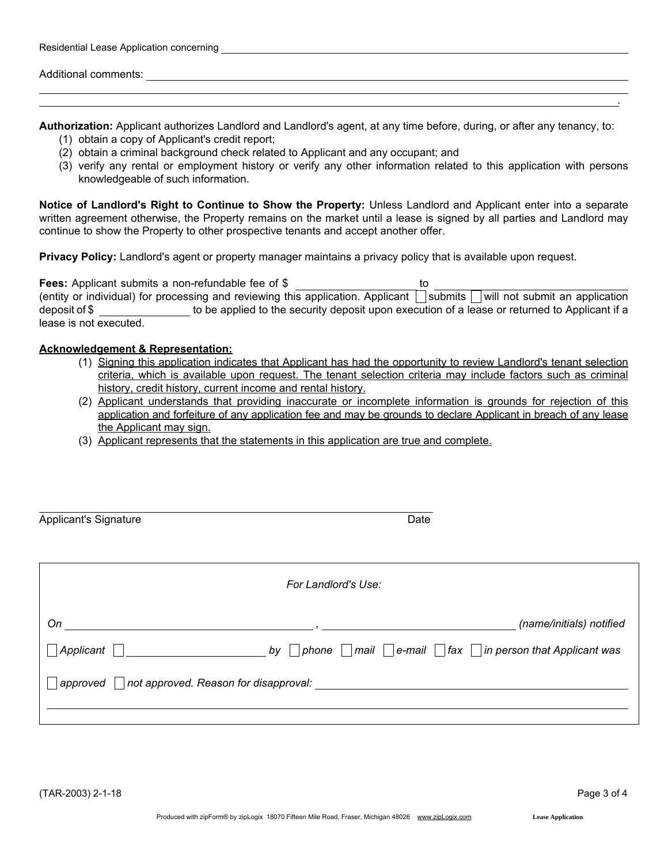| Residential Lease Application concerning |  |  |  |  |
|------------------------------------------|--|--|--|--|
|------------------------------------------|--|--|--|--|

Additional comments:

Authorization: Applicant authorizes Landlord and Landlord's agent, at any time before, during, or after any tenancy, to:

- (1) obtain a copy of Applicant's credit report;
- (2) obtain a criminal background check related to Applicant and any occupant; and
- (3) verify any rental or employment history or verify any other information related to this application with persons knowledgeable of such information.

Notice of Landlord's Right to Continue to Show the Property: Unless Landlord and Applicant enter into a separate written agreement otherwise, the Property remains on the market until a lease is signed by all parties and Landlord may continue to show the Property to other prospective tenants and accept another offer.

Privacy Policy: Landlord's agent or property manager maintains a privacy policy that is available upon request.

Fees: Applicant submits a non-refundable fee of \$ to (entity or individual) for processing and reviewing this application. Applicant  $\Box$  submits  $\Box$  will not submit an application deposit of \$ to be applied to the security deposit upon execution of a lease or returned to Applicant if a lease is not executed.

## Acknowledgement & Representation:

- (1) Signing this application indicates that Applicant has had the opportunity to review Landlord's tenant selection criteria, which is available upon request. The tenant selection criteria may include factors such as criminal history, credit history, current income and rental history.
- (2) Applicant understands that providing inaccurate or incomplete information is grounds for rejection of this application and forfeiture of any application fee and may be grounds to declare Applicant in breach of any lease the Applicant may sign.
- (3) Applicant represents that the statements in this application are true and complete.

| <b>Applicant's Signature</b>                      | Date                |                                                                              |  |
|---------------------------------------------------|---------------------|------------------------------------------------------------------------------|--|
|                                                   | For Landlord's Use: |                                                                              |  |
| On                                                |                     | (name/initials) notified                                                     |  |
| Applicant                                         | by<br>phone         | $\Box$ mail $\Box$ e-mail $\Box$   fax $\Box$   in person that Applicant was |  |
| not approved. Reason for disapproval:<br>approved |                     |                                                                              |  |

.